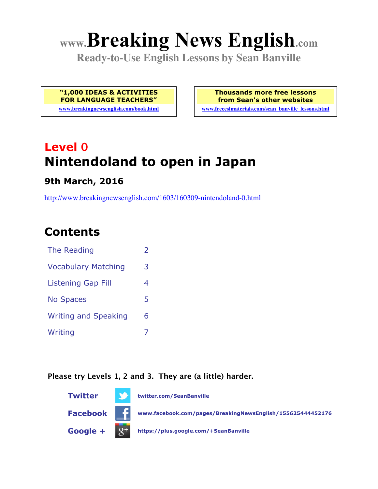# **www.Breaking News English.com**

**Ready-to-Use English Lessons by Sean Banville**

**"1,000 IDEAS & ACTIVITIES FOR LANGUAGE TEACHERS"**

**www.breakingnewsenglish.com/book.html**

**Thousands more free lessons from Sean's other websites**

**www.freeeslmaterials.com/sean\_banville\_lessons.html**

# **Level 0 Nintendoland to open in Japan**

**9th March, 2016**

http://www.breakingnewsenglish.com/1603/160309-nintendoland-0.html

# **Contents**

| The Reading                 | フ |
|-----------------------------|---|
| <b>Vocabulary Matching</b>  | 3 |
| <b>Listening Gap Fill</b>   | 4 |
| <b>No Spaces</b>            | 5 |
| <b>Writing and Speaking</b> | 6 |
| Writing                     |   |

#### **Please try Levels 1, 2 and 3. They are (a little) harder.**

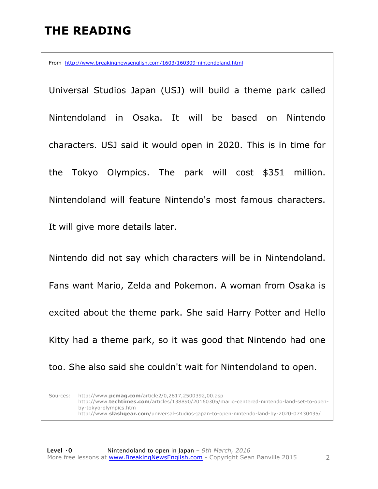# **THE READING**

From http://www.breakingnewsenglish.com/1603/160309-nintendoland.html

Universal Studios Japan (USJ) will build a theme park called Nintendoland in Osaka. It will be based on Nintendo characters. USJ said it would open in 2020. This is in time for the Tokyo Olympics. The park will cost \$351 million. Nintendoland will feature Nintendo's most famous characters. It will give more details later.

Nintendo did not say which characters will be in Nintendoland. Fans want Mario, Zelda and Pokemon. A woman from Osaka is excited about the theme park. She said Harry Potter and Hello Kitty had a theme park, so it was good that Nintendo had one too. She also said she couldn't wait for Nintendoland to open.

Sources: http://www.**pcmag.com**/article2/0,2817,2500392,00.asp http://www.**techtimes.com**/articles/138890/20160305/mario-centered-nintendo-land-set-to-openby-tokyo-olympics.htm http://www.**slashgear.com**/universal-studios-japan-to-open-nintendo-land-by-2020-07430435/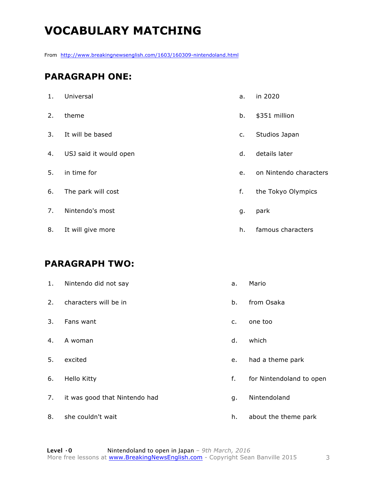# **VOCABULARY MATCHING**

From http://www.breakingnewsenglish.com/1603/160309-nintendoland.html

#### **PARAGRAPH ONE:**

| 1. | Universal              | a. | in 2020                |
|----|------------------------|----|------------------------|
| 2. | theme                  | b. | \$351 million          |
| 3. | It will be based       | c. | Studios Japan          |
| 4. | USJ said it would open | d. | details later          |
| 5. | in time for            | e. | on Nintendo characters |
| 6. | The park will cost     | f. | the Tokyo Olympics     |
| 7. | Nintendo's most        | g. | park                   |
| 8. | It will give more      | h. | famous characters      |

#### **PARAGRAPH TWO:**

| 1. | Nintendo did not say          | a.             | Mario                    |
|----|-------------------------------|----------------|--------------------------|
| 2. | characters will be in         | b.             | from Osaka               |
| 3. | Fans want                     | $\mathsf{C}$ . | one too                  |
| 4. | A woman                       | d.             | which                    |
| 5. | excited                       | e.             | had a theme park         |
| 6. | Hello Kitty                   | f.             | for Nintendoland to open |
| 7. | it was good that Nintendo had | g.             | Nintendoland             |
| 8. | she couldn't wait             | h.             | about the theme park     |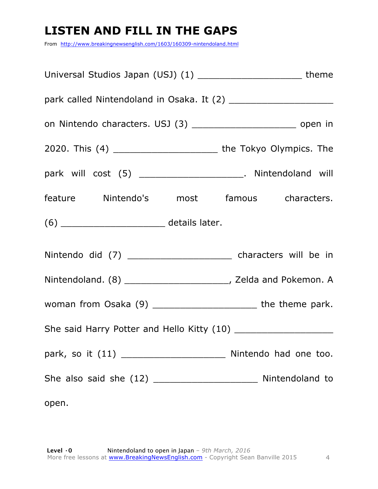# **LISTEN AND FILL IN THE GAPS**

From http://www.breakingnewsenglish.com/1603/160309-nintendoland.html

| Universal Studios Japan (USJ) (1) ____________________________ theme      |  |  |  |
|---------------------------------------------------------------------------|--|--|--|
|                                                                           |  |  |  |
| on Nintendo characters. USJ (3) _________________________________ open in |  |  |  |
| 2020. This (4) ______________________________ the Tokyo Olympics. The     |  |  |  |
| park will cost (5) _______________________. Nintendoland will             |  |  |  |
| feature Nintendo's most famous characters.                                |  |  |  |
| (6) __________________________________ details later.                     |  |  |  |
| Nintendo did (7) _______________________________ characters will be in    |  |  |  |
|                                                                           |  |  |  |
|                                                                           |  |  |  |
|                                                                           |  |  |  |
|                                                                           |  |  |  |
|                                                                           |  |  |  |
| open.                                                                     |  |  |  |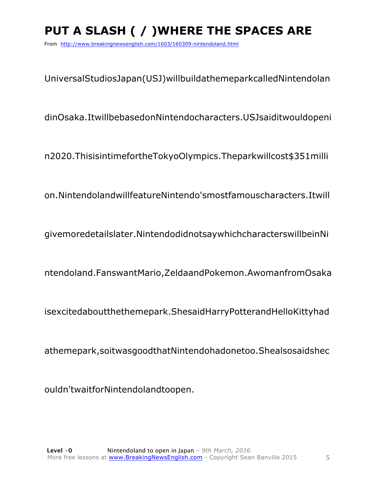# **PUT A SLASH ( / )WHERE THE SPACES ARE**

From http://www.breakingnewsenglish.com/1603/160309-nintendoland.html

UniversalStudiosJapan(USJ)willbuildathemeparkcalledNintendolan

dinOsaka.ItwillbebasedonNintendocharacters.USJsaiditwouldopeni

n2020.ThisisintimefortheTokyoOlympics.Theparkwillcost\$351milli

on.NintendolandwillfeatureNintendo'smostfamouscharacters.Itwill

givemoredetailslater.NintendodidnotsaywhichcharacterswillbeinNi

ntendoland.FanswantMario,ZeldaandPokemon.AwomanfromOsaka

isexcitedaboutthethemepark.ShesaidHarryPotterandHelloKittyhad

athemepark,soitwasgoodthatNintendohadonetoo.Shealsosaidshec

ouldn'twaitforNintendolandtoopen.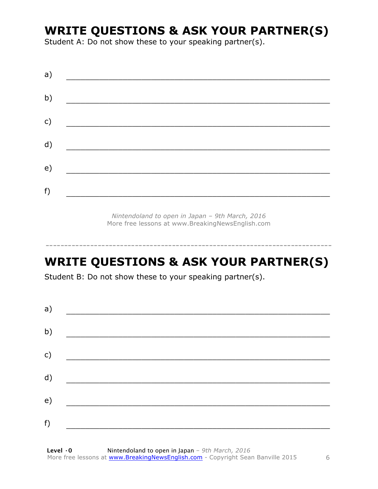### **WRITE QUESTIONS & ASK YOUR PARTNER(S)**

Student A: Do not show these to your speaking partner(s).

| a) |  |  |
|----|--|--|
| b) |  |  |
| c) |  |  |
| d) |  |  |
| e) |  |  |
|    |  |  |
| f) |  |  |

*Nintendoland to open in Japan – 9th March, 2016* More free lessons at www.BreakingNewsEnglish.com

# **WRITE QUESTIONS & ASK YOUR PARTNER(S)**

-----------------------------------------------------------------------------

Student B: Do not show these to your speaking partner(s).

| a) |  |  |
|----|--|--|
| b) |  |  |
| c) |  |  |
| d) |  |  |
| e) |  |  |
| f) |  |  |
|    |  |  |